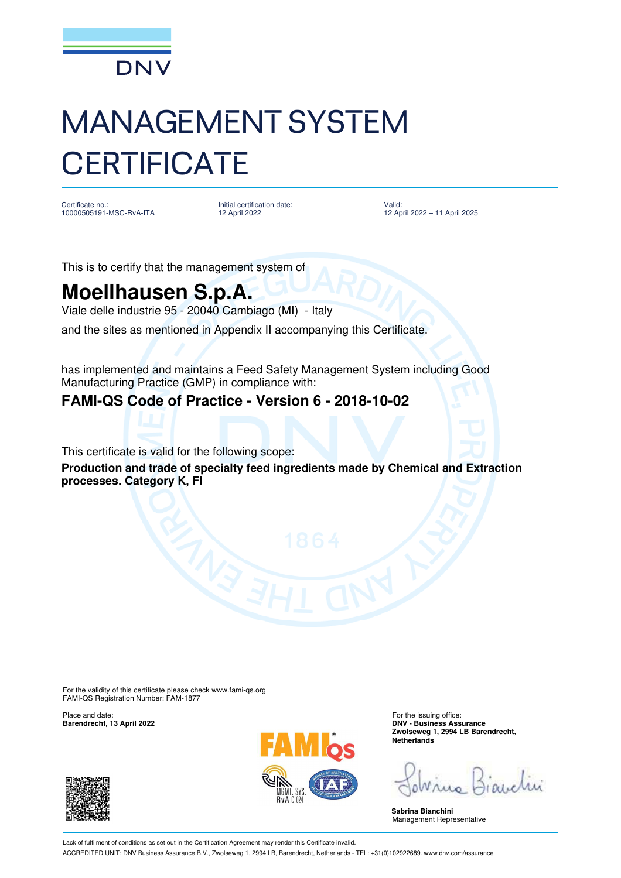

# MANAGEMENT SYSTEM **CERTIFICATE**

Certificate no.: 10000505191-MSC-RvA-ITA Initial certification date: 12 April 2022

Valid: 12 April 2022 – 11 April 2025

This is to certify that the management system of

## **Moellhausen S.p.A.**

Viale delle industrie 95 - 20040 Cambiago (MI) - Italy

and the sites as mentioned in Appendix II accompanying this Certificate.

has implemented and maintains a Feed Safety Management System including Good Manufacturing Practice (GMP) in compliance with:

### **FAMI-QS Code of Practice - Version 6 - 2018-10-02**

This certificate is valid for the following scope:

**Production and trade of specialty feed ingredients made by Chemical and Extraction processes. Category K, FI**

For the validity of this certificate please check www.fami-qs.org FAMI-QS Registration Number: FAM-1877

Place and date: For the issuing office:<br> **Barendrecht, 13 April 2022** extending the intervals of the issuing office: **For the issuing office:** 





**Barendrecht, 13 April 2022 DNV - Business Assurance Zwolseweg 1, 2994 LB Barendrecht, Netherlands**

**Sabrina Bianchini** Management Representative

Lack of fulfilment of conditions as set out in the Certification Agreement may render this Certificate invalid. ACCREDITED UNIT: DNV Business Assurance B.V., Zwolseweg 1, 2994 LB, Barendrecht, Netherlands - TEL: +31(0)102922689. www.dnv.com/assurance